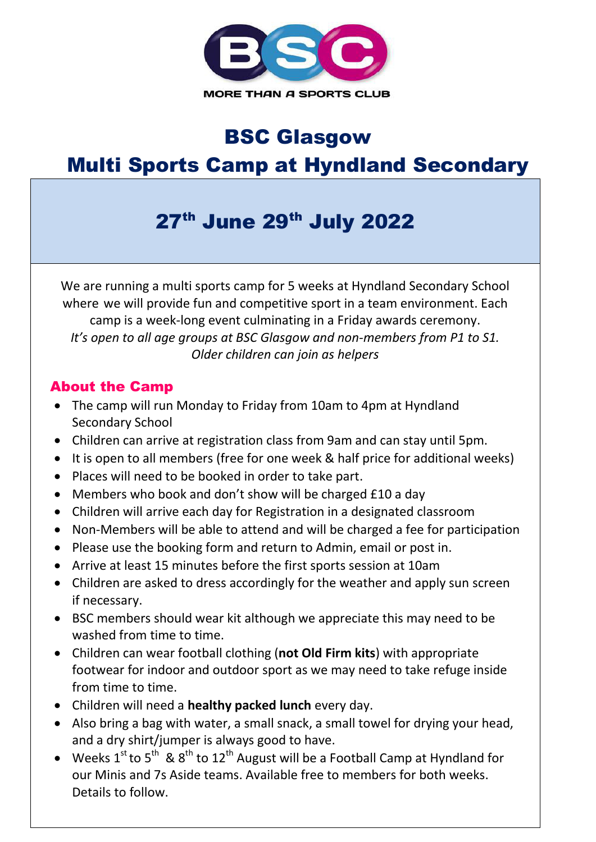

## BSC Glasgow

## Multi Sports Camp at Hyndland Secondary

# 27th June 29th July 2022

We are running a multi sports camp for 5 weeks at Hyndland Secondary School where we will provide fun and competitive sport in a team environment. Each camp is a week-long event culminating in a Friday awards ceremony. *It's open to all age groups at BSC Glasgow and non-members from P1 to S1. Older children can join as helpers*

#### About the Camp

- The camp will run Monday to Friday from 10am to 4pm at Hyndland Secondary School
- Children can arrive at registration class from 9am and can stay until 5pm.
- It is open to all members (free for one week & half price for additional weeks)
- Places will need to be booked in order to take part.
- Members who book and don't show will be charged £10 a day
- Children will arrive each day for Registration in a designated classroom
- Non-Members will be able to attend and will be charged a fee for participation
- Please use the booking form and return to Admin, email or post in.
- Arrive at least 15 minutes before the first sports session at 10am
- Children are asked to dress accordingly for the weather and apply sun screen if necessary.
- BSC members should wear kit although we appreciate this may need to be washed from time to time.
- Children can wear football clothing (**not Old Firm kits**) with appropriate footwear for indoor and outdoor sport as we may need to take refuge inside from time to time.
- Children will need a **healthy packed lunch** every day.
- Also bring a bag with water, a small snack, a small towel for drying your head, and a dry shirt/jumper is always good to have.
- Weeks  $1^{st}$  to  $5^{th}$  &  $8^{th}$  to  $12^{th}$  August will be a Football Camp at Hyndland for our Minis and 7s Aside teams. Available free to members for both weeks. Details to follow.